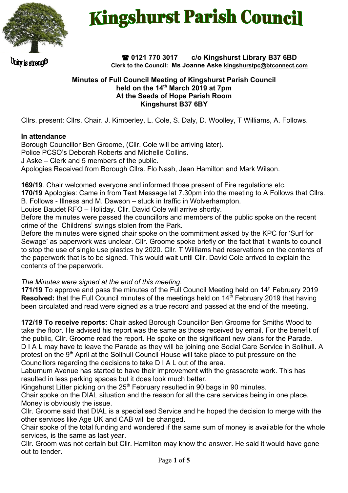

# **Kingshurst Parish Council**

Juity is streng!!!

 **0121 770 3017 c/o Kingshurst Library B37 6BD Clerk to the Council: Ms Joanne Aske [kingshurstpc@btconnect.com](mailto:kingshurstpc@btconnect.com)**

#### **Minutes of Full Council Meeting of Kingshurst Parish Council held on the 14th March 2019 at 7pm At the Seeds of Hope Parish Room Kingshurst B37 6BY**

Cllrs. present: Cllrs. Chair. J. Kimberley, L. Cole, S. Daly, D. Woolley, T Williams, A. Follows.

## **In attendance**

Borough Councillor Ben Groome, (Cllr. Cole will be arriving later). Police PCSO's Deborah Roberts and Michelle Collins. J Aske – Clerk and 5 members of the public. Apologies Received from Borough Cllrs. Flo Nash, Jean Hamilton and Mark Wilson.

**169/19**. Chair welcomed everyone and informed those present of Fire regulations etc.

**170/19** Apologies: Came in from Text Message lat 7.30pm into the meeting to A Follows that Cllrs.

B. Follows - Illness and M. Dawson – stuck in traffic in Wolverhampton.

Louise Baudet RFO – Holiday. Cllr. David Cole will arrive shortly.

Before the minutes were passed the councillors and members of the public spoke on the recent crime of the Childrens' swings stolen from the Park.

Before the minutes were signed chair spoke on the commitment asked by the KPC for 'Surf for Sewage' as paperwork was unclear. Cllr. Groome spoke briefly on the fact that it wants to council to stop the use of single use plastics by 2020. Cllr. T Williams had reservations on the contents of the paperwork that is to be signed. This would wait until Cllr. David Cole arrived to explain the contents of the paperwork.

*The Minutes were signed at the end of this meeting.*

171/19 To approve and pass the minutes of the Full Council Meeting held on 14<sup>h</sup> February 2019 **Resolved:** that the Full Council minutes of the meetings held on 14<sup>th</sup> February 2019 that having been circulated and read were signed as a true record and passed at the end of the meeting.

**172/19 To receive reports:** Chair asked Borough Councillor Ben Groome for Smiths Wood to take the floor. He advised his report was the same as those received by email. For the benefit of the public, Cllr. Groome read the report. He spoke on the significant new plans for the Parade. D I A L may have to leave the Parade as they will be joining one Social Care Service in Solihull. A protest on the  $9<sup>th</sup>$  April at the Solihull Council House will take place to put pressure on the Councillors regarding the decisions to take D I A L out of the area.

Laburnum Avenue has started to have their improvement with the grasscrete work. This has resulted in less parking spaces but it does look much better.

Kingshurst Litter picking on the  $25<sup>th</sup>$  February resulted in 90 bags in 90 minutes.

Chair spoke on the DIAL situation and the reason for all the care services being in one place. Money is obviously the issue.

Cllr. Groome said that DIAL is a specialised Service and he hoped the decision to merge with the other services like Age UK and CAB will be changed.

Chair spoke of the total funding and wondered if the same sum of money is available for the whole services, is the same as last year.

Cllr. Groom was not certain but Cllr. Hamilton may know the answer. He said it would have gone out to tender.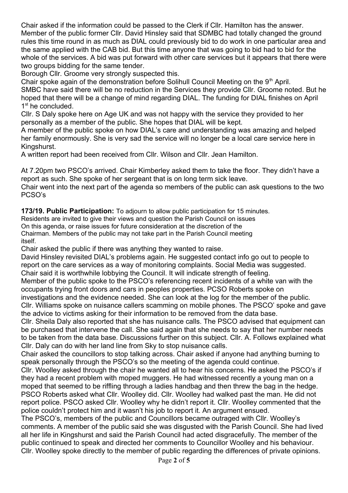Chair asked if the information could be passed to the Clerk if Cllr. Hamilton has the answer. Member of the public former Cllr. David Hinsley said that SDMBC had totally changed the ground rules this time round in as much as DIAL could previously bid to do work in one particular area and the same applied with the CAB bid. But this time anyone that was going to bid had to bid for the whole of the services. A bid was put forward with other care services but it appears that there were two groups bidding for the same tender.

Borough Cllr. Groome very strongly suspected this.

Chair spoke again of the demonstration before Solihull Council Meeting on the 9<sup>th</sup> April. SMBC have said there will be no reduction in the Services they provide Cllr. Groome noted. But he hoped that there will be a change of mind regarding DIAL. The funding for DIAL finishes on April 1<sup>st</sup> he concluded.

Cllr. S Daly spoke here on Age UK and was not happy with the service they provided to her personally as a member of the public. She hopes that DIAL will be kept.

A member of the public spoke on how DIAL's care and understanding was amazing and helped her family enormously. She is very sad the service will no longer be a local care service here in Kingshurst.

A written report had been received from Cllr. Wilson and Cllr. Jean Hamilton.

At 7.20pm two PSCO's arrived. Chair Kimberley asked them to take the floor. They didn't have a report as such. She spoke of her sergeant that is on long term sick leave.

Chair went into the next part of the agenda so members of the public can ask questions to the two PCSO's

**173/19. Public Participation:** To adjourn to allow public participation for 15 minutes.

Residents are invited to give their views and question the Parish Council on issues On this agenda, or raise issues for future consideration at the discretion of the Chairman. Members of the public may not take part in the Parish Council meeting itself.

Chair asked the public if there was anything they wanted to raise.

David Hinsley revisited DIAL's problems again. He suggested contact info go out to people to report on the care services as a way of monitoring complaints. Social Media was suggested. Chair said it is worthwhile lobbying the Council. It will indicate strength of feeling.

Member of the public spoke to the PSCO's referencing recent incidents of a white van with the occupants trying front doors and cars in peoples properties. PCSO Roberts spoke on

investigations and the evidence needed. She can look at the log for the member of the public. Cllr. Williams spoke on nuisance callers scamming on mobile phones. The PSCO' spoke and gave the advice to victims asking for their information to be removed from the data base.

Cllr. Sheila Daly also reported that she has nuisance calls. The PSCO advised that equipment can be purchased that intervene the call. She said again that she needs to say that her number needs to be taken from the data base. Discussions further on this subject. Cllr. A. Follows explained what Cllr. Daly can do with her land line from Sky to stop nuisance calls.

Chair asked the councillors to stop talking across. Chair asked if anyone had anything burning to speak personally through the PSCO's so the meeting of the agenda could continue.

Cllr. Woolley asked through the chair he wanted all to hear his concerns. He asked the PSCO's if they had a recent problem with moped muggers. He had witnessed recently a young man on a moped that seemed to be riffling through a ladies handbag and then threw the bag in the hedge. PSCO Roberts asked what Cllr. Woolley did. Cllr. Woolley had walked past the man. He did not report police. PSCO asked Cllr. Woolley why he didn't report it. Cllr. Woolley commented that the police couldn't protect him and it wasn't his job to report it. An argument ensued.

The PSCO's, members of the public and Councillors became outraged with Cllr. Woolley's comments. A member of the public said she was disgusted with the Parish Council. She had lived all her life in Kingshurst and said the Parish Council had acted disgracefully. The member of the public continued to speak and directed her comments to Councillor Woolley and his behaviour. Cllr. Woolley spoke directly to the member of public regarding the differences of private opinions.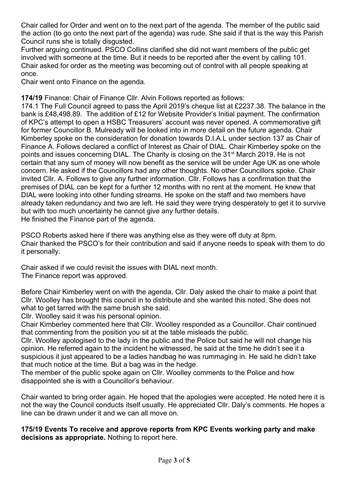Chair called for Order and went on to the next part of the agenda. The member of the public said the action (to go onto the next part of the agenda) was rude. She said if that is the way this Parish Council runs she is totally disgusted.

Further arguing continued. PSCO Collins clarified she did not want members of the public get involved with someone at the time. But it needs to be reported after the event by calling 101. Chair asked for order as the meeting was becoming out of control with all people speaking at once.

Chair went onto Finance on the agenda.

**174/19** Finance: Chair of Finance Cllr. Alvin Follows reported as follows:

174.1 The Full Council agreed to pass the April 2019's cheque list at £2237.38. The balance in the bank is £48,498.89. The addition of £12 for Website Provider's Initial payment. The confirmation of KPC's attempt to open a HSBC Treasurers' account was never opened. A commemorative gift for former Councillor B. Mulready will be looked into in more detail on the future agenda. Chair Kimberley spoke on the consideration for donation towards D.I.A.L under section 137 as Chair of Finance A. Follows declared a conflict of Interest as Chair of DIAL. Chair Kimberley spoke on the points and issues concerning DIAL. The Charity is closing on the 31<sup>st</sup> March 2019. He is not certain that any sum of money will now benefit as the service will be under Age UK as one whole concern. He asked if the Councillors had any other thoughts. No other Councillors spoke. Chair invited Cllr. A. Follows to give any further information. Cllr. Follows has a confirmation that the premises of DIAL can be kept for a further 12 months with no rent at the moment. He knew that DIAL were looking into other funding streams. He spoke on the staff and two members have already taken redundancy and two are left. He said they were trying desperately to get it to survive but with too much uncertainty he cannot give any further details. He finished the Finance part of the agenda.

PSCO Roberts asked here if there was anything else as they were off duty at 8pm. Chair thanked the PSCO's for their contribution and said if anyone needs to speak with them to do it personally.

Chair asked if we could revisit the issues with DIAL next month. The Finance report was approved.

Before Chair Kimberley went on with the agenda, Cllr. Daly asked the chair to make a point that Cllr. Woolley has brought this council in to distribute and she wanted this noted. She does not what to get tarred with the same brush she said.

Cllr. Woolley said it was his personal opinion.

Chair Kimberley commented here that Cllr. Woolley responded as a Councillor. Chair continued that commenting from the position you sit at the table misleads the public.

Cllr. Woolley apologised to the lady in the public and the Police but said he will not change his opinion. He referred again to the incident he witnessed, he said at the time he didn't see it a suspicious it just appeared to be a ladies handbag he was rummaging in. He said he didn't take that much notice at the time. But a bag was in the hedge.

The member of the public spoke again on Cllr. Woolley comments to the Police and how disappointed she is with a Councillor's behaviour.

Chair wanted to bring order again. He hoped that the apologies were accepted. He noted here it is not the way the Council conducts itself usually. He appreciated Cllr. Daly's comments. He hopes a line can be drawn under it and we can all move on.

## **175/19 Events To receive and approve reports from KPC Events working party and make decisions as appropriate.** Nothing to report here.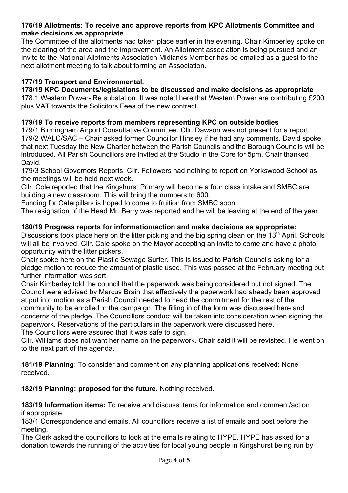#### **176/19 Allotments: To receive and approve reports from KPC Allotments Committee and make decisions as appropriate.**

The Committee of the allotments had taken place earlier in the evening. Chair Kimberley spoke on the clearing of the area and the improvement. An Allotment association is being pursued and an Invite to the National Allotments Association Midlands Member has be emailed as a guest to the next allotment meeting to talk about forming an Association.

## **177/19 Transport and Environmental.**

# **178/19 KPC Documents/legislations to be discussed and make decisions as appropriate**

178.1 Western Power- Re substation. It was noted here that Western Power are contributing £200 plus VAT towards the Solicitors Fees of the new contract.

## **179/19 To receive reports from members representing KPC on outside bodies**

179/1 Birmingham Airport Consultative Committee: Cllr. Dawson was not present for a report. 179/2 WALC/SAC – Chair asked former Councillor Hinsley if he had any comments. David spoke that next Tuesday the New Charter between the Parish Councils and the Borough Councils will be introduced. All Parish Councillors are invited at the Studio in the Core for 5pm. Chair thanked David.

179/3 School Governors Reports. Cllr. Followers had nothing to report on Yorkswood School as the meetings will be held next week.

Cllr. Cole reported that the Kingshurst Primary will become a four class intake and SMBC are building a new classroom. This will bring the numbers to 600.

Funding for Caterpillars is hoped to come to fruition from SMBC soon.

The resignation of the Head Mr. Berry was reported and he will be leaving at the end of the year.

## **180/19 Progress reports for information/action and make decisions as appropriate:**

Discussions took place here on the litter picking and the big spring clean on the 13<sup>th</sup> April. Schools will all be involved. Cllr. Cole spoke on the Mayor accepting an invite to come and have a photo opportunity with the litter pickers.

Chair spoke here on the Plastic Sewage Surfer. This is issued to Parish Councils asking for a pledge motion to reduce the amount of plastic used. This was passed at the February meeting but further information was sort.

Chair Kimberley told the council that the paperwork was being considered but not signed. The Council were advised by Marcus Brain that effectively the paperwork had already been approved at put into motion as a Parish Council needed to head the commitment for the rest of the community to be enrolled in the campaign. The filling in of the form was discussed here and concerns of the pledge. The Councillors conduct will be taken into consideration when signing the paperwork. Reservations of the particulars in the paperwork were discussed here.

The Councillors were assured that it was safe to sign.

Cllr. Williams does not want her name on the paperwork. Chair said it will be revisited. He went on to the next part of the agenda.

**181/19 Planning**: To consider and comment on any planning applications received: None received.

**182/19 Planning: proposed for the future.** Nothing received.

**183/19 Information items:** To receive and discuss items for information and comment/action if appropriate.

183/1 Correspondence and emails. All councillors receive a list of emails and post before the meeting.

The Clerk asked the councillors to look at the emails relating to HYPE. HYPE has asked for a donation towards the running of the activities for local young people in Kingshurst being run by